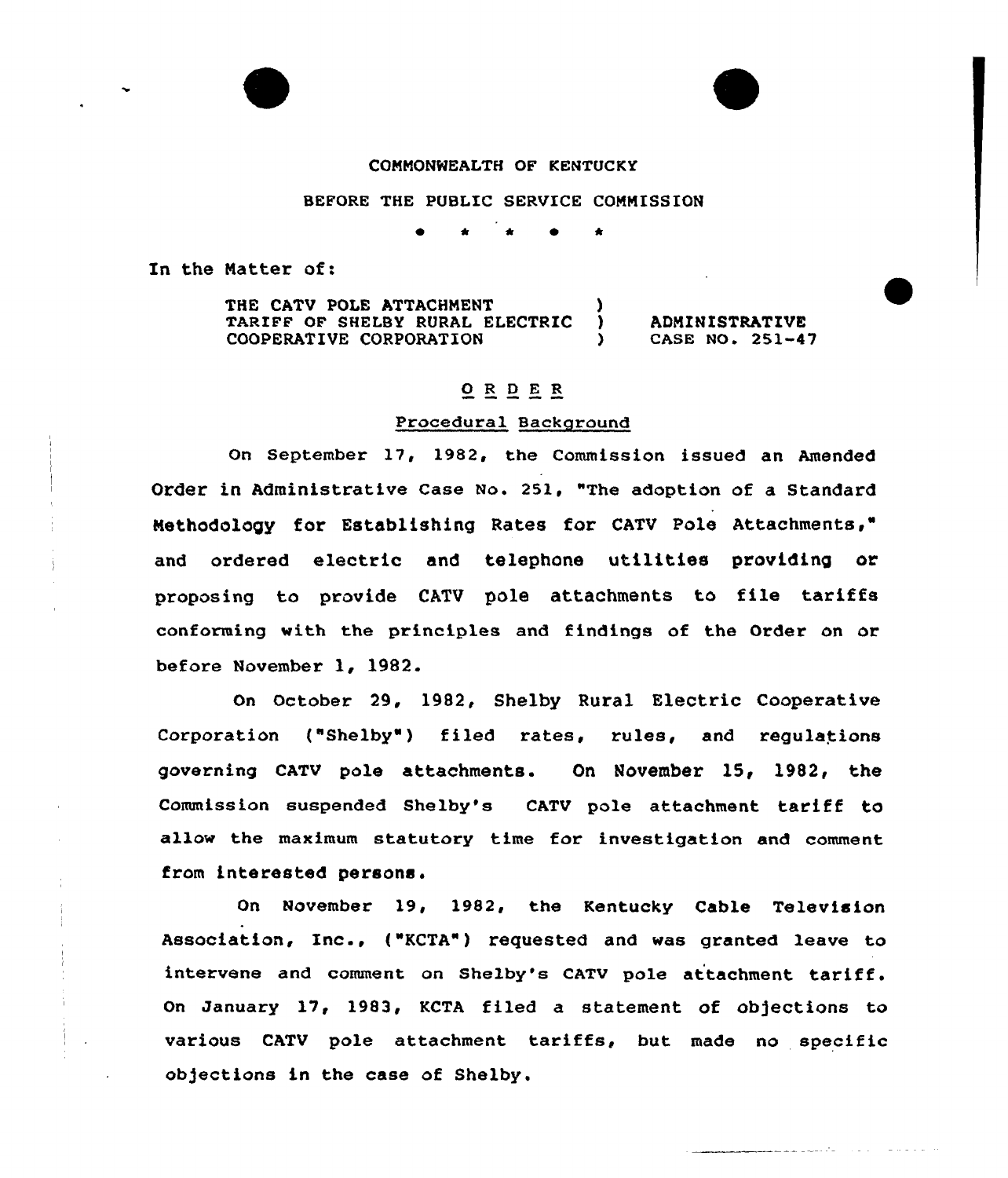

### COMMONWEALTH OF KENTUCKY

#### BEFORE THE PUBLIC SERVICE COMMISSION

~ <sup>4</sup> \* <sup>~</sup> \*

In the Natter of:

THE CATV POLE ATTACHMENT TARIFF OF SHELBY RURAL ELECTRIC COOPERATIVE CORPORATION

ADMINISTRATIVE CASE NO. 251-47

# 0 <sup>R</sup> <sup>D</sup> <sup>E</sup> <sup>R</sup>

# Procedural Background

On September 17, 1982, the Commission issued an Amended Order in Administrative Case No. 251, "The adoption of a Standar Methodology for Establishing Rates for CATV Pole Attachments," and ordered electric and telephone utilities providing or proposing to provide CATV pole attachments to file tariffs conforming with the principles and findings of the Order on or before November 1, 1982.

On October 29, 1982, Shelby Rural Electric Cooperative Corporation ("Shelby") filed rates, rules, and regulations governing CATV pole attachments. On November 15, 1982, the Commission suspended Shelby's CATV pole attachment tariff to allow the maximum statutory time for investigation and comment from interested persons.

On November 19, 1982, the Kentucky Cable Television Association, Inc., ("KCTA") requested and was granted leave to intervene and comment on Shelby's CATV pole attachment tariff. On January 17, 1983, KCTA filed a statement of objections to various CATV pole attachment tariffs, but made no specific ob)ections in the case of Shelby.

المائد وسيسات الفراغا والمستشف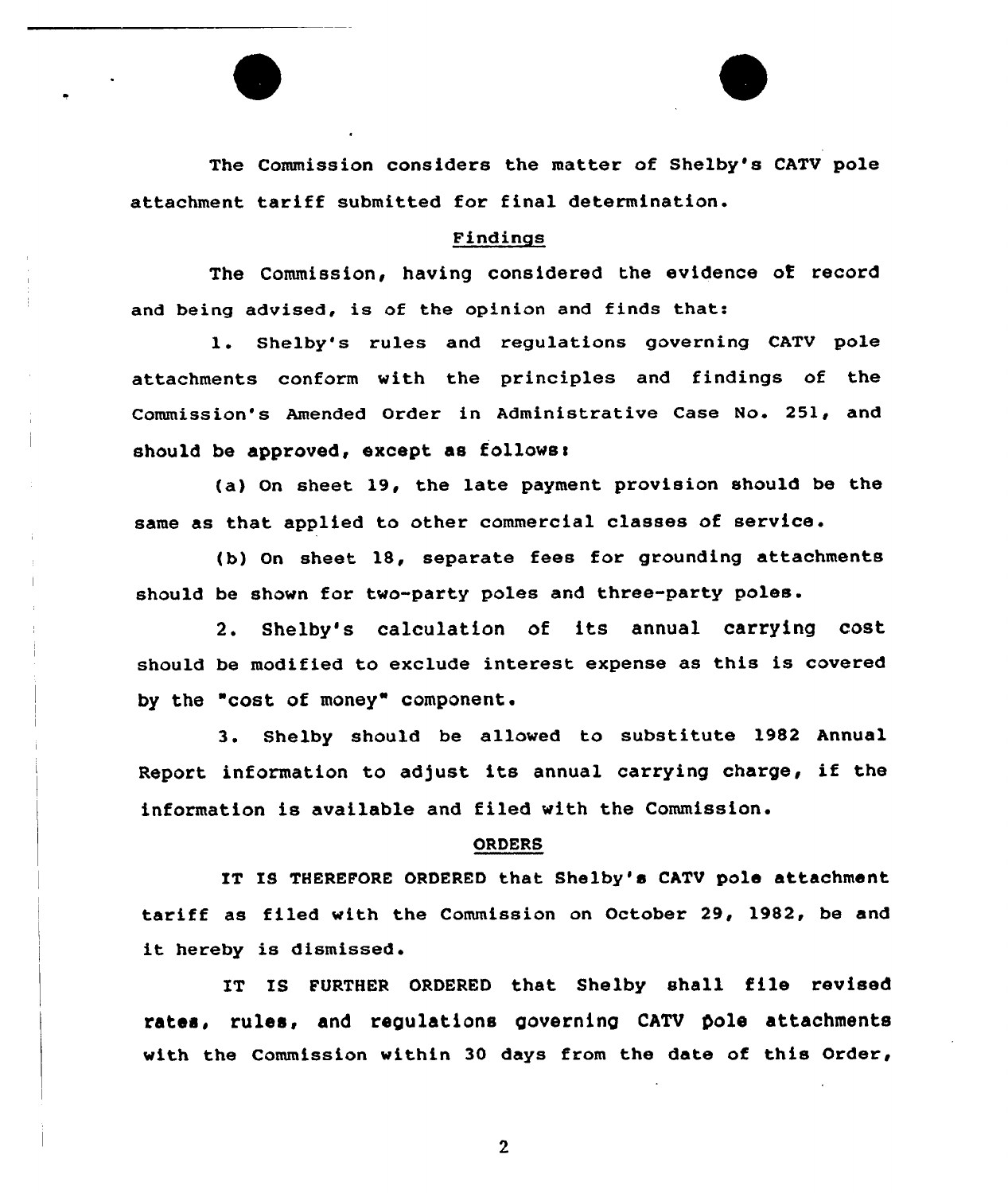The Commission considers the matter of Shelby's CATV pole attachment tariff submitted for final determination.

## Findings

The Commission, having considered the evidence oE record and being advised, is of the opinion and finds that:

1. Shelby's rules and regulations governing CATV pole attachments conform with the principles and findings of the Commission's Amended Order in Administrative Case No. 251, and should be approved, except as follows:

(a) On sheet 19, the late payment provision should be the same as that applied to other commercial classes of service .

tb) On sheet 18, separate fees for grounding attachments should be shown for two-party poles and three-party poles.

2. Shelby's calculation of its annual carrying cost should be modified to exclude interest expense as this is covered by the "cost of money" component.

3. Shelby should be allowed to substitute 1982 Annual Report information to adjust its annual carrying charge, if the information is available and filed with the Commission.

### ORDERS

IT IS THEREFORE ORDERED that Shelby's CATV pole attachment tariff as filed with the Commission on October 29, 1982, be and it hereby is dismissed.

IT IS FURTHER ORDERED that Shelby shall file revised rates, rules, and regulations governing CATV pole attachments with the Commission within 30 days from the date of this Order,

 $\overline{2}$